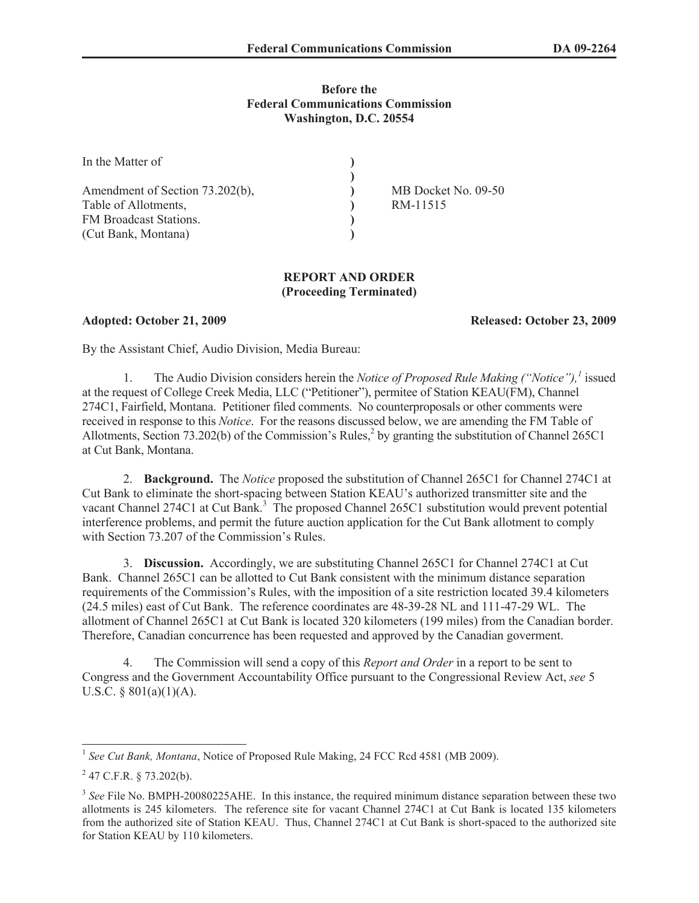## **Before the Federal Communications Commission Washington, D.C. 20554**

| In the Matter of                |                     |
|---------------------------------|---------------------|
|                                 |                     |
| Amendment of Section 73.202(b), | MB Docket No. 09-50 |
| Table of Allotments,            | RM-11515            |
| FM Broadcast Stations.          |                     |
| (Cut Bank, Montana)             |                     |

## **REPORT AND ORDER (Proceeding Terminated)**

**Adopted: October 21, 2009 Released: October 23, 2009**

By the Assistant Chief, Audio Division, Media Bureau:

1. The Audio Division considers herein the *Notice of Proposed Rule Making ("Notice"),<sup>1</sup>* issued at the request of College Creek Media, LLC ("Petitioner"), permitee of Station KEAU(FM), Channel 274C1, Fairfield, Montana. Petitioner filed comments. No counterproposals or other comments were received in response to this *Notice*. For the reasons discussed below, we are amending the FM Table of Allotments, Section 73.202(b) of the Commission's Rules,<sup>2</sup> by granting the substitution of Channel 265C1 at Cut Bank, Montana.

2. **Background.** The *Notice* proposed the substitution of Channel 265C1 for Channel 274C1 at Cut Bank to eliminate the short-spacing between Station KEAU's authorized transmitter site and the vacant Channel 274C1 at Cut Bank.<sup>3</sup> The proposed Channel 265C1 substitution would prevent potential interference problems, and permit the future auction application for the Cut Bank allotment to comply with Section 73.207 of the Commission's Rules.

3. **Discussion.** Accordingly, we are substituting Channel 265C1 for Channel 274C1 at Cut Bank. Channel 265C1 can be allotted to Cut Bank consistent with the minimum distance separation requirements of the Commission's Rules, with the imposition of a site restriction located 39.4 kilometers (24.5 miles) east of Cut Bank. The reference coordinates are 48-39-28 NL and 111-47-29 WL. The allotment of Channel 265C1 at Cut Bank is located 320 kilometers (199 miles) from the Canadian border. Therefore, Canadian concurrence has been requested and approved by the Canadian goverment.

4. The Commission will send a copy of this *Report and Order* in a report to be sent to Congress and the Government Accountability Office pursuant to the Congressional Review Act, *see* 5 U.S.C. § 801(a)(1)(A).

<sup>&</sup>lt;sup>1</sup> See Cut Bank, Montana, Notice of Proposed Rule Making, 24 FCC Rcd 4581 (MB 2009).

 $^{2}$  47 C.F.R. § 73.202(b).

<sup>&</sup>lt;sup>3</sup> See File No. BMPH-20080225AHE. In this instance, the required minimum distance separation between these two allotments is 245 kilometers. The reference site for vacant Channel 274C1 at Cut Bank is located 135 kilometers from the authorized site of Station KEAU. Thus, Channel 274C1 at Cut Bank is short-spaced to the authorized site for Station KEAU by 110 kilometers.